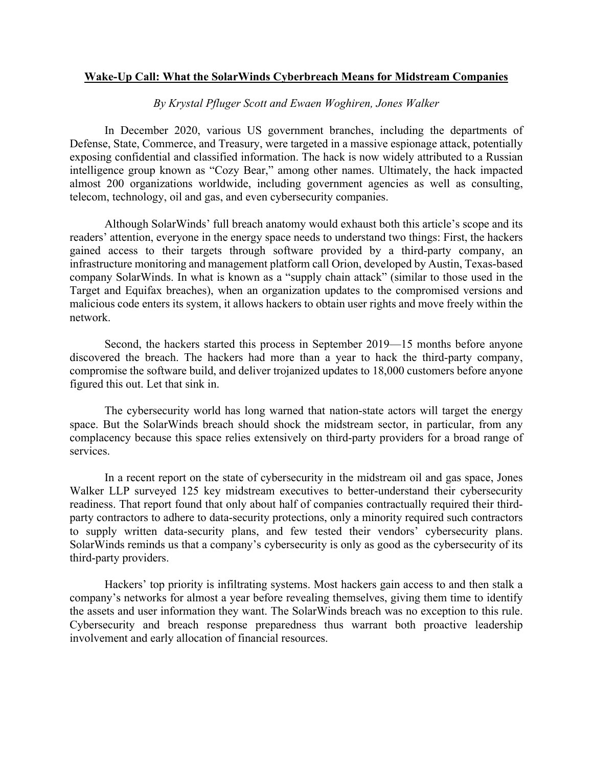## **Wake-Up Call: What the SolarWinds Cyberbreach Means for Midstream Companies**

## *By Krystal Pfluger Scott and Ewaen Woghiren, Jones Walker*

In December 2020, various US government branches, including the departments of Defense, State, Commerce, and Treasury, were targeted in a massive espionage attack, potentially exposing confidential and classified information. The hack is now widely attributed to a Russian intelligence group known as "Cozy Bear," among other names. Ultimately, the hack impacted almost 200 organizations worldwide, including government agencies as well as consulting, telecom, technology, oil and gas, and even cybersecurity companies.

Although SolarWinds' full breach anatomy would exhaust both this article's scope and its readers' attention, everyone in the energy space needs to understand two things: First, the hackers gained access to their targets through software provided by a third-party company, an infrastructure monitoring and management platform call Orion, developed by Austin, Texas-based company SolarWinds. In what is known as a "supply chain attack" (similar to those used in the Target and Equifax breaches), when an organization updates to the compromised versions and malicious code enters its system, it allows hackers to obtain user rights and move freely within the network.

Second, the hackers started this process in September 2019—15 months before anyone discovered the breach. The hackers had more than a year to hack the third-party company, compromise the software build, and deliver trojanized updates to 18,000 customers before anyone figured this out. Let that sink in.

The cybersecurity world has long warned that nation-state actors will target the energy space. But the SolarWinds breach should shock the midstream sector, in particular, from any complacency because this space relies extensively on third-party providers for a broad range of services.

In a recent report on the state of cybersecurity in the midstream oil and gas space, Jones Walker LLP surveyed 125 key midstream executives to better-understand their cybersecurity readiness. That report found that only about half of companies contractually required their thirdparty contractors to adhere to data-security protections, only a minority required such contractors to supply written data-security plans, and few tested their vendors' cybersecurity plans. SolarWinds reminds us that a company's cybersecurity is only as good as the cybersecurity of its third-party providers.

Hackers' top priority is infiltrating systems. Most hackers gain access to and then stalk a company's networks for almost a year before revealing themselves, giving them time to identify the assets and user information they want. The SolarWinds breach was no exception to this rule. Cybersecurity and breach response preparedness thus warrant both proactive leadership involvement and early allocation of financial resources.